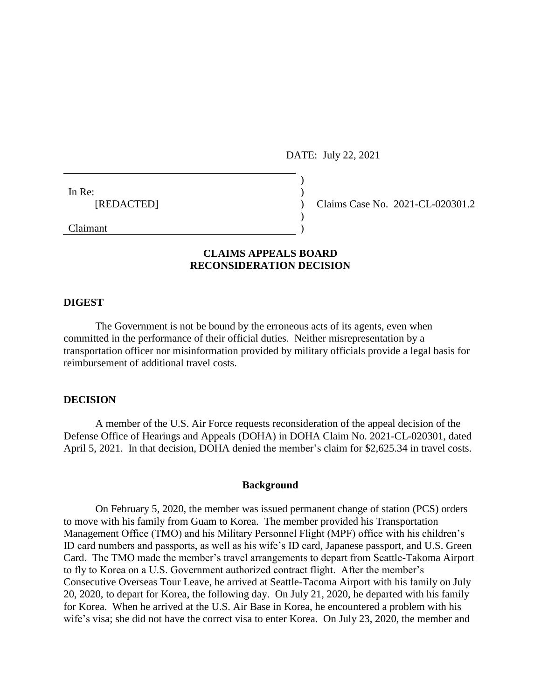DATE: July 22, 2021

 $)$ 

)

In Re:  $\qquad \qquad$  )

[REDACTED] ) Claims Case No. 2021-CL-020301.2

Claimant )

# **CLAIMS APPEALS BOARD RECONSIDERATION DECISION**

## **DIGEST**

The Government is not be bound by the erroneous acts of its agents, even when committed in the performance of their official duties. Neither misrepresentation by a transportation officer nor misinformation provided by military officials provide a legal basis for reimbursement of additional travel costs.

### **DECISION**

A member of the U.S. Air Force requests reconsideration of the appeal decision of the Defense Office of Hearings and Appeals (DOHA) in DOHA Claim No. 2021-CL-020301, dated April 5, 2021. In that decision, DOHA denied the member's claim for \$2,625.34 in travel costs.

#### **Background**

On February 5, 2020, the member was issued permanent change of station (PCS) orders to move with his family from Guam to Korea. The member provided his Transportation Management Office (TMO) and his Military Personnel Flight (MPF) office with his children's ID card numbers and passports, as well as his wife's ID card, Japanese passport, and U.S. Green Card. The TMO made the member's travel arrangements to depart from Seattle-Takoma Airport to fly to Korea on a U.S. Government authorized contract flight. After the member's Consecutive Overseas Tour Leave, he arrived at Seattle-Tacoma Airport with his family on July 20, 2020, to depart for Korea, the following day. On July 21, 2020, he departed with his family for Korea. When he arrived at the U.S. Air Base in Korea, he encountered a problem with his wife's visa; she did not have the correct visa to enter Korea. On July 23, 2020, the member and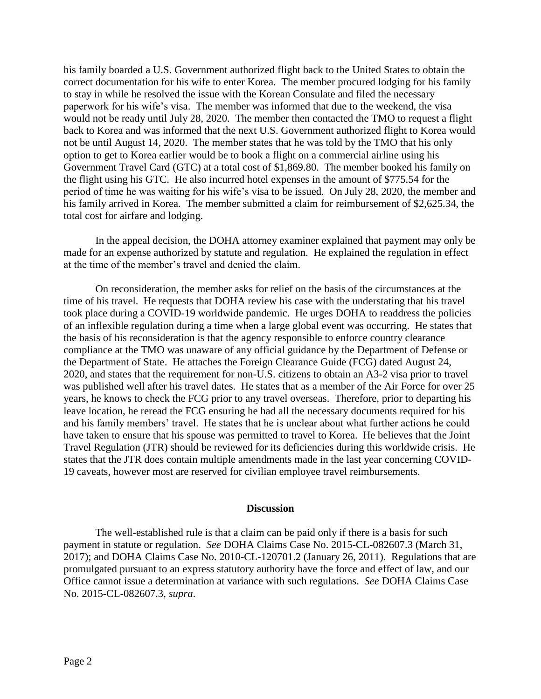his family boarded a U.S. Government authorized flight back to the United States to obtain the correct documentation for his wife to enter Korea. The member procured lodging for his family to stay in while he resolved the issue with the Korean Consulate and filed the necessary paperwork for his wife's visa. The member was informed that due to the weekend, the visa would not be ready until July 28, 2020. The member then contacted the TMO to request a flight back to Korea and was informed that the next U.S. Government authorized flight to Korea would not be until August 14, 2020. The member states that he was told by the TMO that his only option to get to Korea earlier would be to book a flight on a commercial airline using his Government Travel Card (GTC) at a total cost of \$1,869.80. The member booked his family on the flight using his GTC. He also incurred hotel expenses in the amount of \$775.54 for the period of time he was waiting for his wife's visa to be issued. On July 28, 2020, the member and his family arrived in Korea. The member submitted a claim for reimbursement of \$2,625.34, the total cost for airfare and lodging.

In the appeal decision, the DOHA attorney examiner explained that payment may only be made for an expense authorized by statute and regulation. He explained the regulation in effect at the time of the member's travel and denied the claim.

On reconsideration, the member asks for relief on the basis of the circumstances at the time of his travel. He requests that DOHA review his case with the understating that his travel took place during a COVID-19 worldwide pandemic. He urges DOHA to readdress the policies of an inflexible regulation during a time when a large global event was occurring. He states that the basis of his reconsideration is that the agency responsible to enforce country clearance compliance at the TMO was unaware of any official guidance by the Department of Defense or the Department of State. He attaches the Foreign Clearance Guide (FCG) dated August 24, 2020, and states that the requirement for non-U.S. citizens to obtain an A3-2 visa prior to travel was published well after his travel dates. He states that as a member of the Air Force for over 25 years, he knows to check the FCG prior to any travel overseas. Therefore, prior to departing his leave location, he reread the FCG ensuring he had all the necessary documents required for his and his family members' travel. He states that he is unclear about what further actions he could have taken to ensure that his spouse was permitted to travel to Korea. He believes that the Joint Travel Regulation (JTR) should be reviewed for its deficiencies during this worldwide crisis. He states that the JTR does contain multiple amendments made in the last year concerning COVID-19 caveats, however most are reserved for civilian employee travel reimbursements.

#### **Discussion**

The well-established rule is that a claim can be paid only if there is a basis for such payment in statute or regulation. *See* DOHA Claims Case No. 2015-CL-082607.3 (March 31, 2017); and DOHA Claims Case No. 2010-CL-120701.2 (January 26, 2011). Regulations that are promulgated pursuant to an express statutory authority have the force and effect of law, and our Office cannot issue a determination at variance with such regulations. *See* DOHA Claims Case No. 2015-CL-082607.3, *supra*.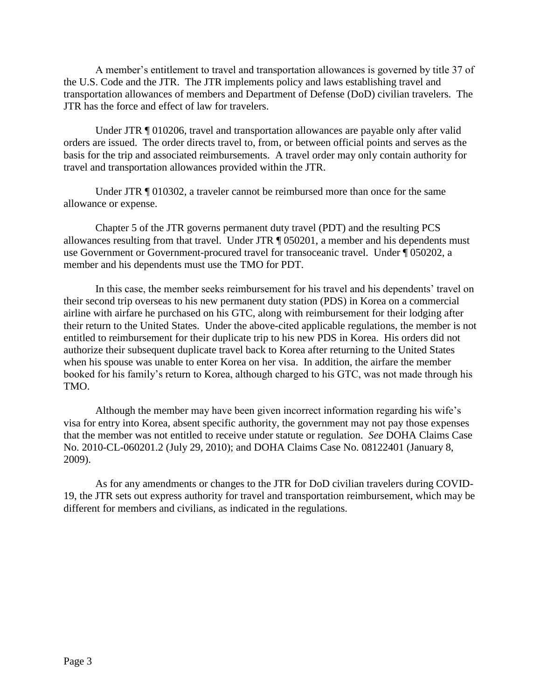A member's entitlement to travel and transportation allowances is governed by title 37 of the U.S. Code and the JTR. The JTR implements policy and laws establishing travel and transportation allowances of members and Department of Defense (DoD) civilian travelers. The JTR has the force and effect of law for travelers.

Under JTR ¶ 010206, travel and transportation allowances are payable only after valid orders are issued. The order directs travel to, from, or between official points and serves as the basis for the trip and associated reimbursements. A travel order may only contain authority for travel and transportation allowances provided within the JTR.

Under JTR  $\parallel$  010302, a traveler cannot be reimbursed more than once for the same allowance or expense.

Chapter 5 of the JTR governs permanent duty travel (PDT) and the resulting PCS allowances resulting from that travel. Under JTR ¶ 050201, a member and his dependents must use Government or Government-procured travel for transoceanic travel. Under ¶ 050202, a member and his dependents must use the TMO for PDT.

In this case, the member seeks reimbursement for his travel and his dependents' travel on their second trip overseas to his new permanent duty station (PDS) in Korea on a commercial airline with airfare he purchased on his GTC, along with reimbursement for their lodging after their return to the United States. Under the above-cited applicable regulations, the member is not entitled to reimbursement for their duplicate trip to his new PDS in Korea. His orders did not authorize their subsequent duplicate travel back to Korea after returning to the United States when his spouse was unable to enter Korea on her visa. In addition, the airfare the member booked for his family's return to Korea, although charged to his GTC, was not made through his TMO.

Although the member may have been given incorrect information regarding his wife's visa for entry into Korea, absent specific authority, the government may not pay those expenses that the member was not entitled to receive under statute or regulation. *See* DOHA Claims Case No. 2010-CL-060201.2 (July 29, 2010); and DOHA Claims Case No. 08122401 (January 8, 2009).

As for any amendments or changes to the JTR for DoD civilian travelers during COVID-19, the JTR sets out express authority for travel and transportation reimbursement, which may be different for members and civilians, as indicated in the regulations.